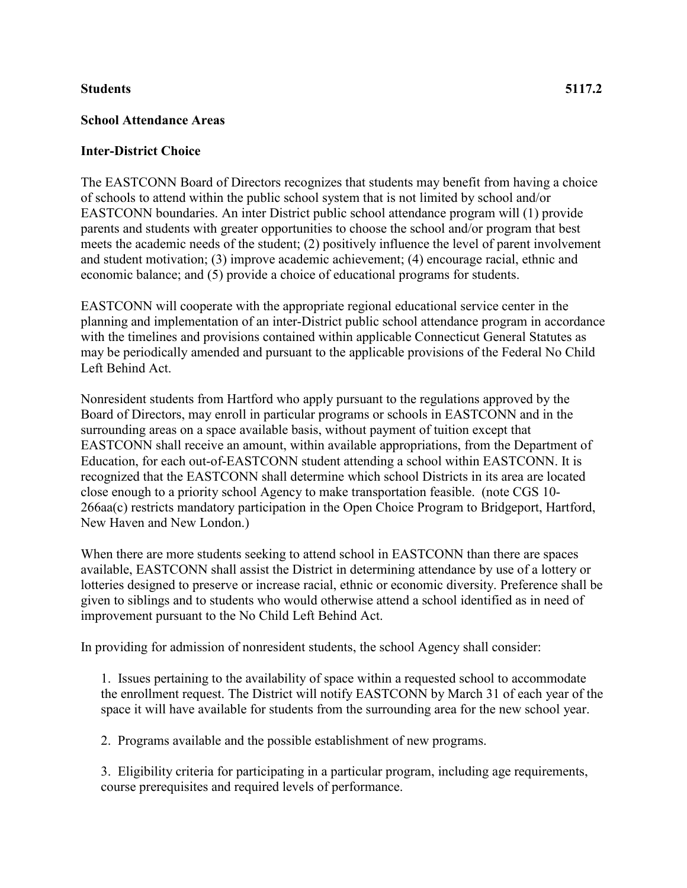## **Students 5117.2**

## **School Attendance Areas**

## **Inter-District Choice**

The EASTCONN Board of Directors recognizes that students may benefit from having a choice of schools to attend within the public school system that is not limited by school and/or EASTCONN boundaries. An inter District public school attendance program will (1) provide parents and students with greater opportunities to choose the school and/or program that best meets the academic needs of the student; (2) positively influence the level of parent involvement and student motivation; (3) improve academic achievement; (4) encourage racial, ethnic and economic balance; and (5) provide a choice of educational programs for students.

EASTCONN will cooperate with the appropriate regional educational service center in the planning and implementation of an inter-District public school attendance program in accordance with the timelines and provisions contained within applicable Connecticut General Statutes as may be periodically amended and pursuant to the applicable provisions of the Federal No Child Left Behind Act.

Nonresident students from Hartford who apply pursuant to the regulations approved by the Board of Directors, may enroll in particular programs or schools in EASTCONN and in the surrounding areas on a space available basis, without payment of tuition except that EASTCONN shall receive an amount, within available appropriations, from the Department of Education, for each out-of-EASTCONN student attending a school within EASTCONN. It is recognized that the EASTCONN shall determine which school Districts in its area are located close enough to a priority school Agency to make transportation feasible. (note CGS 10- 266aa(c) restricts mandatory participation in the Open Choice Program to Bridgeport, Hartford, New Haven and New London.)

When there are more students seeking to attend school in EASTCONN than there are spaces available, EASTCONN shall assist the District in determining attendance by use of a lottery or lotteries designed to preserve or increase racial, ethnic or economic diversity. Preference shall be given to siblings and to students who would otherwise attend a school identified as in need of improvement pursuant to the No Child Left Behind Act.

In providing for admission of nonresident students, the school Agency shall consider:

1. Issues pertaining to the availability of space within a requested school to accommodate the enrollment request. The District will notify EASTCONN by March 31 of each year of the space it will have available for students from the surrounding area for the new school year.

2. Programs available and the possible establishment of new programs.

3. Eligibility criteria for participating in a particular program, including age requirements, course prerequisites and required levels of performance.